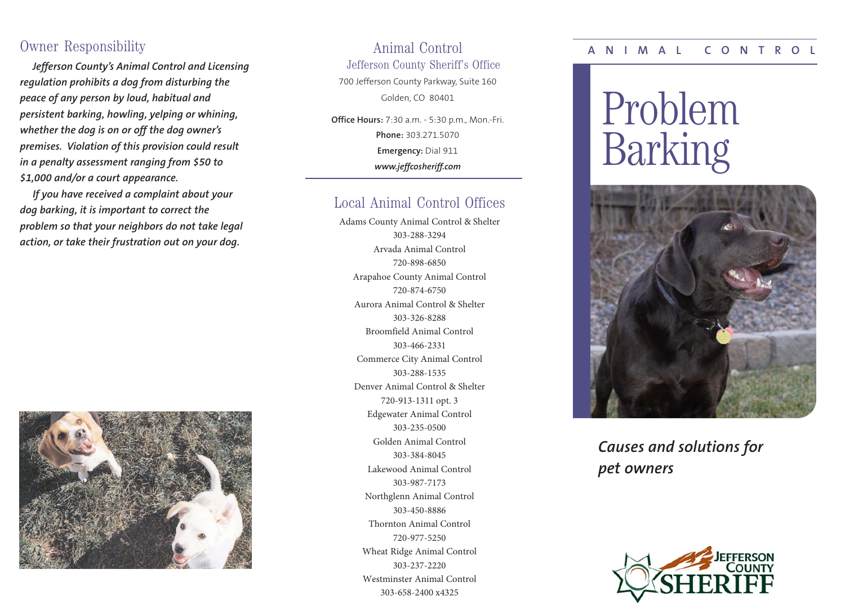# Owner Responsibility

*Jefferson County's Animal Control and Licensing regulation prohibits a dog from disturbing the peace of any person by loud, habitual and persistent barking, howling, yelping or whining, whether the dog is on or off the dog owner's premises. Violation of this provision could result in a penalty assessment ranging from \$50 to \$1,000 and/or a court appearance.* 

*If you have received a complaint about your dog barking, it is important to correct the problem so that your neighbors do not take legal action, or take their frustration out on your dog.*



# Animal Control

Jefferson County Sheriff's Office

700 Jefferson County Parkway, Suite 160 Golden, CO 80401

**Office Hours:** 7:30 a.m. - 5:30 p.m., Mon.-Fri. **Phone:** 303.271.5070 **Emergency:** Dial 911 *www.jeffcosheriff.com*

# Local Animal Control Offices

Adams County Animal Control & Shelter 303-288-3294 Arvada Animal Control 720-898-6850 Arapahoe County Animal Control 720-874-6750 Aurora Animal Control & Shelter 303-326-8288 Broomfield Animal Control 303-466-2331 Commerce City Animal Control 303-288-1535 Denver Animal Control & Shelter 720-913-1311 opt. 3 Edgewater Animal Control 303-235-0500 Golden Animal Control 303-384-8045 Lakewood Animal Control 303-987-7173 Northglenn Animal Control 303-450-8886 Thornton Animal Control 720-977-5250 Wheat Ridge Animal Control 303-237-2220 Westminster Animal Control 303-658-2400 x4325

#### **ANIMAL CONTROL**

# Problem Barking



*Causes and solutions for pet owners*